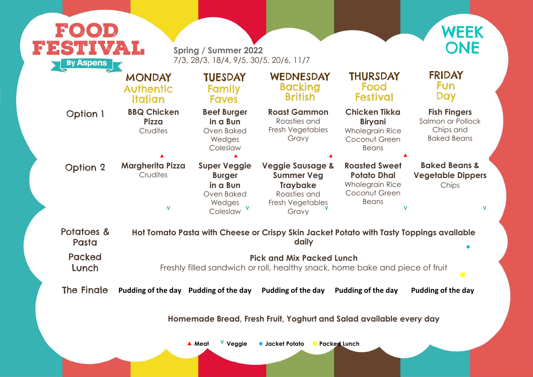**Fish Fingers** Salmon or Pollock Chips and Baked Beans

| FOOD<br>FESTIVAL<br><b>By Aspens</b> |                                                                                                        | <b>Spring / Summer 2022</b><br>7/3, 28/3, 18/4, 9/5, 30/5, 20/6, 11/7                |                                                                                                                  |                                                                                                       |  |  |
|--------------------------------------|--------------------------------------------------------------------------------------------------------|--------------------------------------------------------------------------------------|------------------------------------------------------------------------------------------------------------------|-------------------------------------------------------------------------------------------------------|--|--|
|                                      | <b>MONDAY</b><br><b>Authentic</b><br><b>Italian</b>                                                    | <b>TUESDAY</b><br><b>Family</b><br><b>Faves</b>                                      | WEDNESDAY<br><b>Backing</b><br><b>British</b>                                                                    | <b>THURSDAY</b><br>Food<br><b>Festival</b>                                                            |  |  |
| <b>Option 1</b>                      | <b>BBQ Chicken</b><br><b>Pizza</b><br>Crudites                                                         | <b>Beef Burger</b><br>in a Bun<br>Oven Baked<br>Wedges<br>Coleslaw                   | <b>Roast Gammon</b><br>Roasties and<br>Fresh Vegetables<br>Gravy                                                 | <b>Chicken Tikka</b><br><b>Biryani</b><br><b>Wholegrain Rice</b><br>Coconut Green<br><b>Beans</b>     |  |  |
| <b>Option 2</b>                      | <b>Margherita Pizza</b><br>Crudites<br>v                                                               | <b>Super Veggie</b><br><b>Burger</b><br>in a Bun<br>Oven Baked<br>Wedges<br>Coleslaw | <b>Veggie Sausage &amp;</b><br><b>Summer Veg</b><br><b>Traybake</b><br>Roasties and<br>Fresh Vegetables<br>Gravy | <b>Roasted Sweet</b><br><b>Potato Dhal</b><br><b>Wholegrain Rice</b><br>Coconut Green<br><b>Beans</b> |  |  |
| Potatoes &<br>Pasta                  |                                                                                                        |                                                                                      | Hot Tomato Pasta with Cheese or Crispy Skin Jacket Potato with Tasty To<br>daily                                 |                                                                                                       |  |  |
| <b>Packed</b><br>Lunch               | <b>Pick and Mix Packed Lunch</b><br>Freshly filled sandwich or roll, healthy snack, home bake and pion |                                                                                      |                                                                                                                  |                                                                                                       |  |  |
| <b>The Fingle</b>                    | Pudding of the day Pudding of the day                                                                  |                                                                                      | Pudding of the day<br>Homemade Bread, Fresh Fruit, Yoghurt and Salad available ev                                | <b>Pudding of the day</b>                                                                             |  |  |

**Baked Beans & Vegetable Dippers** Chips

 $\mathbf V$ 

**Ioppings available** 

ece of fruit

The Finale **Pudding of the day Pudding of the day Pudding of the day Pudding of the day Pudding of the day**

 $\overline{\phantom{a}}$ 

**Wery day** 

**Veggie Packed Lunch Meat V Jacket Potato**



### **FRIDAY Fun** Day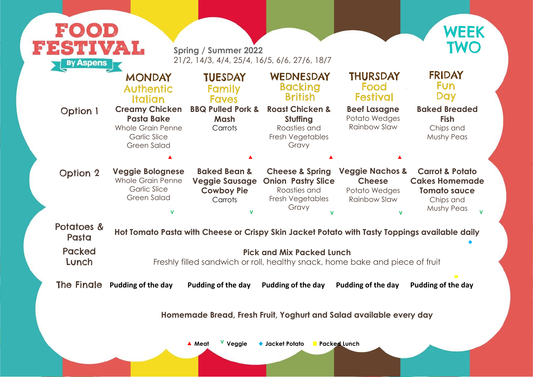#### **Baked Breaded Fish** Chips and Mushy Peas

| <b>EESTIVAL</b><br><b>By Aspens</b> |                                                                                                  | <b>Spring / Summer 2022</b><br>21/2, 14/3, 4/4, 25/4, 16/5, 6/6, 27/6, 18/7             |                                                                                                                  |                                                                                    | <b>TWO</b>                                                                                                   |
|-------------------------------------|--------------------------------------------------------------------------------------------------|-----------------------------------------------------------------------------------------|------------------------------------------------------------------------------------------------------------------|------------------------------------------------------------------------------------|--------------------------------------------------------------------------------------------------------------|
| <b>Option 1</b>                     | <b>MONDAY</b><br><b>Authentic</b><br>Italian<br><b>Creamy Chicken</b><br><b>Pasta Bake</b>       | <b>TUESDAY</b><br><b>Family</b><br><b>Faves</b><br><b>BBQ Pulled Pork &amp;</b><br>Mash | WEDNESDAY<br><b>Backing</b><br><b>British</b><br><b>Roast Chicken &amp;</b><br>Stuffing                          | <b>THURSDAY</b><br>Food<br><b>Festival</b><br><b>Beef Lasagne</b><br>Potato Wedges | <b>FRIDAY</b><br><b>Fun</b><br>Day<br><b>Baked Breaded</b><br><b>Fish</b>                                    |
|                                     | <b>Whole Grain Penne</b><br><b>Garlic Slice</b><br><b>Green Salad</b>                            | Carrots                                                                                 | Roasties and<br>Fresh Vegetables<br>Gravy                                                                        | <b>Rainbow Slaw</b>                                                                | Chips and<br><b>Mushy Peas</b>                                                                               |
|                                     |                                                                                                  |                                                                                         |                                                                                                                  |                                                                                    |                                                                                                              |
| <b>Option 2</b>                     | <b>Veggie Bolognese</b><br><b>Whole Grain Penne</b><br><b>Garlic Slice</b><br><b>Green Salad</b> | <b>Baked Bean &amp;</b><br><b>Veggie Sausage</b><br><b>Cowboy Pie</b><br>Carrots        | <b>Cheese &amp; Spring</b><br><b>Onion Pastry Slice</b><br>Roasties and<br>Fresh Vegetables<br>Gravy             | <b>Veggie Nachos &amp;</b><br><b>Cheese</b><br>Potato Wedges<br>Rainbow Slaw       | <b>Carrot &amp; Potato</b><br><b>Cakes Homemade</b><br><b>Tomato sauce</b><br>Chips and<br><b>Mushy Peas</b> |
| Potatoes &<br>Pasta                 |                                                                                                  |                                                                                         | Hot Tomato Pasta with Cheese or Crispy Skin Jacket Potato with Tasty Toppings available daily                    |                                                                                    |                                                                                                              |
| <b>Packed</b><br>Lunch              |                                                                                                  |                                                                                         | <b>Pick and Mix Packed Lunch</b><br>Freshly filled sandwich or roll, healthy snack, home bake and piece of fruit |                                                                                    |                                                                                                              |
| The Fingle                          | <b>Pudding of the day</b>                                                                        | Pudding of the day                                                                      | Pudding of the day                                                                                               | Pudding of the day                                                                 | <b>Pudding of the day</b>                                                                                    |
|                                     |                                                                                                  |                                                                                         | Homemade Bread, Fresh Fruit, Yoghurt and Salad available every day                                               |                                                                                    |                                                                                                              |



## **FRIDAY Fun** Day